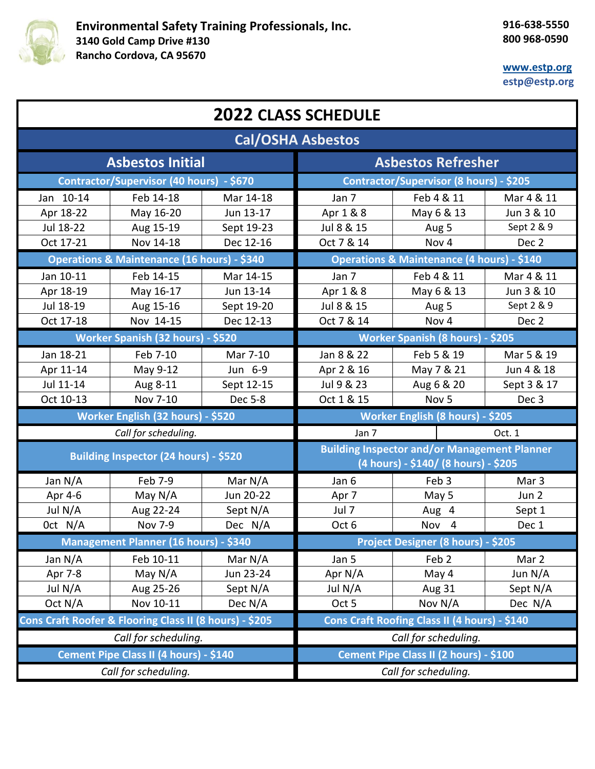

## **[www.estp.org](http://www.estp.org/) estp@estp.org**

| <b>2022 CLASS SCHEDULE</b> |                                                         |            |                                                                                             |                  |                  |  |  |  |  |  |  |
|----------------------------|---------------------------------------------------------|------------|---------------------------------------------------------------------------------------------|------------------|------------------|--|--|--|--|--|--|
| <b>Cal/OSHA Asbestos</b>   |                                                         |            |                                                                                             |                  |                  |  |  |  |  |  |  |
|                            | <b>Asbestos Initial</b>                                 |            | <b>Asbestos Refresher</b>                                                                   |                  |                  |  |  |  |  |  |  |
|                            | Contractor/Supervisor (40 hours) - \$670                |            | Contractor/Supervisor (8 hours) - \$205                                                     |                  |                  |  |  |  |  |  |  |
| Jan 10-14                  | Feb 14-18                                               | Mar 14-18  | Jan 7                                                                                       | Feb 4 & 11       | Mar 4 & 11       |  |  |  |  |  |  |
| Apr 18-22                  | May 16-20                                               | Jun 13-17  | Apr 1 & 8                                                                                   | May 6 & 13       | Jun 3 & 10       |  |  |  |  |  |  |
| Jul 18-22                  | Aug 15-19                                               | Sept 19-23 | Jul 8 & 15                                                                                  | Aug 5            | Sept 2 & 9       |  |  |  |  |  |  |
| Oct 17-21                  | Nov 14-18                                               | Dec 12-16  | Oct 7 & 14                                                                                  | Nov 4            | Dec <sub>2</sub> |  |  |  |  |  |  |
|                            | <b>Operations &amp; Maintenance (16 hours) - \$340</b>  |            | <b>Operations &amp; Maintenance (4 hours) - \$140</b>                                       |                  |                  |  |  |  |  |  |  |
| Jan 10-11                  | Feb 14-15                                               | Mar 14-15  | Jan 7                                                                                       | Feb 4 & 11       | Mar 4 & 11       |  |  |  |  |  |  |
| Apr 18-19                  | May 16-17                                               | Jun 13-14  | Apr 1 & 8                                                                                   | May 6 & 13       | Jun 3 & 10       |  |  |  |  |  |  |
| Jul 18-19                  | Aug 15-16                                               | Sept 19-20 | Jul 8 & 15                                                                                  | Aug 5            | Sept 2 & 9       |  |  |  |  |  |  |
| Oct 17-18                  | Nov 14-15                                               | Dec 12-13  | Oct 7 & 14                                                                                  | Nov <sub>4</sub> | Dec <sub>2</sub> |  |  |  |  |  |  |
|                            | Worker Spanish (32 hours) - \$520                       |            | Worker Spanish (8 hours) - \$205                                                            |                  |                  |  |  |  |  |  |  |
| Jan 18-21                  | Feb 7-10                                                | Mar 7-10   | Jan 8 & 22                                                                                  | Feb 5 & 19       | Mar 5 & 19       |  |  |  |  |  |  |
| Apr 11-14                  | May 9-12                                                | Jun 6-9    | Apr 2 & 16                                                                                  | May 7 & 21       | Jun 4 & 18       |  |  |  |  |  |  |
| Jul 11-14                  | Aug 8-11                                                | Sept 12-15 | Jul 9 & 23                                                                                  | Aug 6 & 20       | Sept 3 & 17      |  |  |  |  |  |  |
| Oct 10-13                  | Nov 7-10                                                | Dec 5-8    | Oct 1 & 15                                                                                  | Nov <sub>5</sub> | Dec <sub>3</sub> |  |  |  |  |  |  |
|                            | Worker English (32 hours) - \$520                       |            | Worker English (8 hours) - \$205                                                            |                  |                  |  |  |  |  |  |  |
|                            | Call for scheduling.                                    |            | Jan 7<br>Oct. 1                                                                             |                  |                  |  |  |  |  |  |  |
|                            | Building Inspector (24 hours) - \$520                   |            | <b>Building Inspector and/or Management Planner</b><br>(4 hours) - \$140/ (8 hours) - \$205 |                  |                  |  |  |  |  |  |  |
| Jan N/A                    | Feb 7-9                                                 | Mar N/A    | Jan 6                                                                                       | Feb <sub>3</sub> | Mar <sub>3</sub> |  |  |  |  |  |  |
| Apr 4-6                    | May $N/A$                                               | Jun 20-22  | Apr 7                                                                                       | May 5            | Jun 2            |  |  |  |  |  |  |
| Jul N/A                    | Aug 22-24                                               | Sept N/A   | Jul 7                                                                                       | Aug 4            | Sept 1           |  |  |  |  |  |  |
| Oct N/A                    | <b>Nov 7-9</b>                                          | Dec N/A    | Oct 6                                                                                       | Nov 4            | Dec 1            |  |  |  |  |  |  |
|                            | Management Planner (16 hours) - \$340                   |            | Project Designer (8 hours) - \$205                                                          |                  |                  |  |  |  |  |  |  |
| Jan N/A                    | Feb 10-11                                               | Mar N/A    | Jan 5                                                                                       | Feb <sub>2</sub> | Mar 2            |  |  |  |  |  |  |
| Apr 7-8                    | May N/A                                                 | Jun 23-24  | Apr N/A                                                                                     | May 4            | Jun N/A          |  |  |  |  |  |  |
| Jul N/A                    | Aug 25-26                                               | Sept N/A   | Jul N/A                                                                                     | Aug 31           | Sept N/A         |  |  |  |  |  |  |
| Oct N/A                    | Nov 10-11                                               | Dec N/A    | Oct 5                                                                                       | Nov N/A          | Dec N/A          |  |  |  |  |  |  |
|                            | Cons Craft Roofer & Flooring Class II (8 hours) - \$205 |            | Cons Craft Roofing Class II (4 hours) - \$140                                               |                  |                  |  |  |  |  |  |  |
|                            | Call for scheduling.                                    |            | Call for scheduling.                                                                        |                  |                  |  |  |  |  |  |  |
|                            | Cement Pipe Class II (4 hours) - \$140                  |            | Cement Pipe Class II (2 hours) - \$100                                                      |                  |                  |  |  |  |  |  |  |
| Call for scheduling.       |                                                         |            | Call for scheduling.                                                                        |                  |                  |  |  |  |  |  |  |